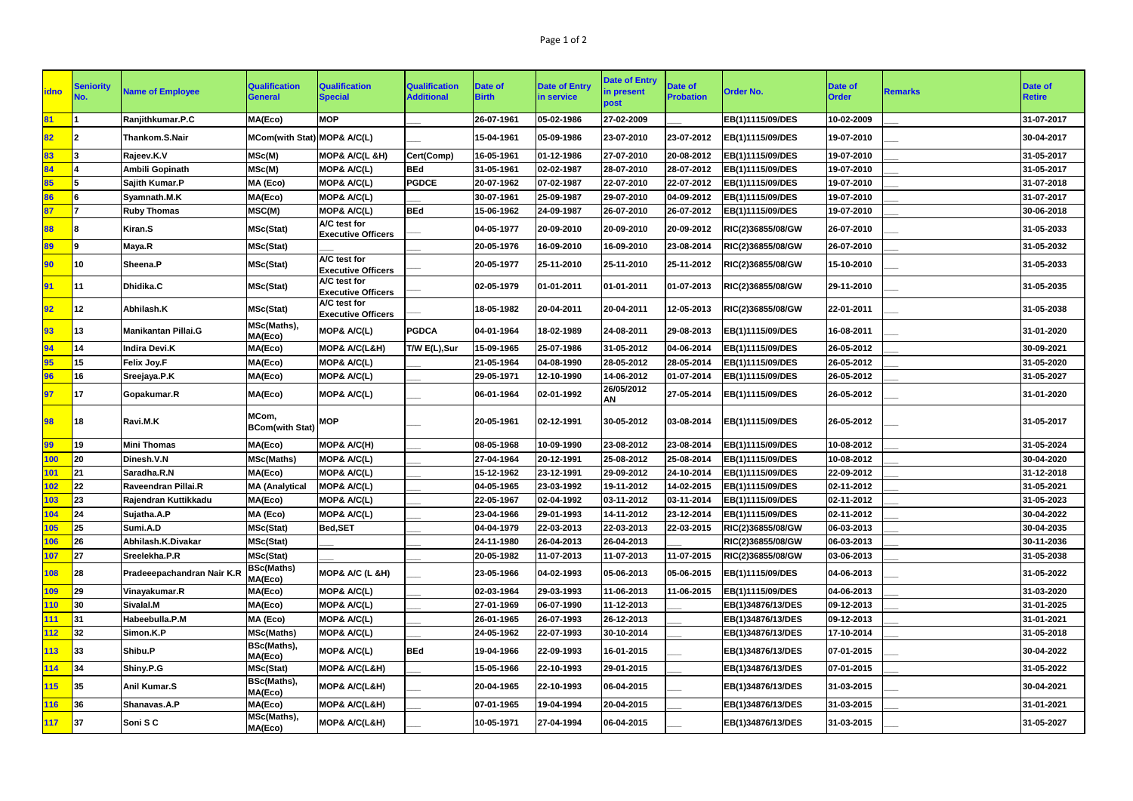| <b>idno</b> | <b>Seniority</b><br>NO. | <b>Name of Employee</b>    | <b>Qualification</b><br><b>General</b> | <b>Qualification</b><br><b>Special</b>    | <b>Qualification</b><br><b>Additional</b> | Date of<br><b>Birth</b> | <b>Date of Entry</b><br>in service | <b>Date of Entry</b><br>in present<br>post | <b>Date of</b><br><b>Probation</b> | <b>Order No.</b>  | Date of<br><b>Order</b> | <b>Remarks</b> | <b>Date of</b><br><b>Retire</b> |
|-------------|-------------------------|----------------------------|----------------------------------------|-------------------------------------------|-------------------------------------------|-------------------------|------------------------------------|--------------------------------------------|------------------------------------|-------------------|-------------------------|----------------|---------------------------------|
| 81          |                         | Ranjithkumar.P.C           | MA(Eco)                                | <b>MOP</b>                                |                                           | 26-07-1961              | 05-02-1986                         | 27-02-2009                                 |                                    | EB(1)1115/09/DES  | 10-02-2009              |                | 31-07-2017                      |
| 82          |                         | Thankom.S.Nair             | MCom(with Stat) MOP& A/C(L)            |                                           |                                           | 15-04-1961              | 05-09-1986                         | 23-07-2010                                 | 23-07-2012                         | EB(1)1115/09/DES  | 19-07-2010              |                | 30-04-2017                      |
| 83          |                         | Rajeev.K.V                 | MSc(M)                                 | MOP& A/C(L &H)                            | Cert(Comp)                                | 16-05-1961              | 01-12-1986                         | 27-07-2010                                 | 20-08-2012                         | EB(1)1115/09/DES  | 19-07-2010              |                | 31-05-2017                      |
| 84          |                         | <b>Ambili Gopinath</b>     | MSc(M)                                 | MOP& A/C(L)                               | <b>BEd</b>                                | 31-05-1961              | 02-02-1987                         | 28-07-2010                                 | 28-07-2012                         | EB(1)1115/09/DES  | 19-07-2010              |                | 31-05-2017                      |
| 85          |                         | Sajith Kumar.P             | MA (Eco)                               | MOP& A/C(L)                               | <b>PGDCE</b>                              | 20-07-1962              | 07-02-1987                         | 22-07-2010                                 | 22-07-2012                         | EB(1)1115/09/DES  | 19-07-2010              |                | 31-07-2018                      |
| 86          |                         | Syamnath.M.K               | MA(Eco)                                | <b>MOP&amp; A/C(L)</b>                    |                                           | 30-07-1961              | 25-09-1987                         | 29-07-2010                                 | 04-09-2012                         | EB(1)1115/09/DES  | 19-07-2010              |                | 31-07-2017                      |
| 87          |                         | <b>Ruby Thomas</b>         | MSC(M)                                 | <b>MOP&amp; A/C(L)</b>                    | <b>BEd</b>                                | 15-06-1962              | 24-09-1987                         | 26-07-2010                                 | 26-07-2012                         | EB(1)1115/09/DES  | 19-07-2010              |                | 30-06-2018                      |
| 88          |                         | Kiran.S                    | MSc(Stat)                              | A/C test for<br><b>Executive Officers</b> |                                           | 04-05-1977              | 20-09-2010                         | 20-09-2010                                 | 20-09-2012                         | RIC(2)36855/08/GW | 26-07-2010              |                | 31-05-2033                      |
| 89          |                         | Maya.R                     | MSc(Stat)                              |                                           |                                           | 20-05-1976              | 16-09-2010                         | 16-09-2010                                 | 23-08-2014                         | RIC(2)36855/08/GW | 26-07-2010              |                | 31-05-2032                      |
| 90          | 10                      | Sheena.P                   | MSc(Stat)                              | A/C test for<br><b>Executive Officers</b> |                                           | 20-05-1977              | 25-11-2010                         | 25-11-2010                                 | 25-11-2012                         | RIC(2)36855/08/GW | 15-10-2010              |                | 31-05-2033                      |
| 91          | 11                      | Dhidika.C                  | MSc(Stat)                              | A/C test for<br><b>Executive Officers</b> |                                           | 02-05-1979              | 01-01-2011                         | 01-01-2011                                 | 01-07-2013                         | RIC(2)36855/08/GW | 29-11-2010              |                | 31-05-2035                      |
| 92          | 12                      | Abhilash.K                 | MSc(Stat)                              | A/C test for<br><b>Executive Officers</b> |                                           | 18-05-1982              | 20-04-2011                         | 20-04-2011                                 | 12-05-2013                         | RIC(2)36855/08/GW | 22-01-2011              |                | 31-05-2038                      |
| 93          | 13                      | <b>Manikantan Pillai.G</b> | MSc(Maths),<br>MA(Eco)                 | <b>MOP&amp; A/C(L)</b>                    | <b>PGDCA</b>                              | 04-01-1964              | 18-02-1989                         | 24-08-2011                                 | 29-08-2013                         | EB(1)1115/09/DES  | 16-08-2011              |                | 31-01-2020                      |
| 94          | 14                      | Indira Devi.K              | MA(Eco)                                | <b>MOP&amp; A/C(L&amp;H)</b>              | T/W E(L),Sur                              | 15-09-1965              | 25-07-1986                         | 31-05-2012                                 | 04-06-2014                         | EB(1)1115/09/DES  | 26-05-2012              |                | 30-09-2021                      |
| 95          | 15                      | <b>Felix Joy.F</b>         | MA(Eco)                                | <b>MOP&amp; A/C(L)</b>                    |                                           | 21-05-1964              | 04-08-1990                         | 28-05-2012                                 | 28-05-2014                         | EB(1)1115/09/DES  | 26-05-2012              |                | 31-05-2020                      |
| 96          | 16                      | Sreejaya.P.K               | MA(Eco)                                | <b>MOP&amp; A/C(L)</b>                    |                                           | 29-05-1971              | 12-10-1990                         | 14-06-2012                                 | 01-07-2014                         | EB(1)1115/09/DES  | 26-05-2012              |                | 31-05-2027                      |
| 97          | 17                      | Gopakumar.R                | MA(Eco)                                | MOP& A/C(L)                               |                                           | 06-01-1964              | 02-01-1992                         | 26/05/2012<br>AN                           | 27-05-2014                         | EB(1)1115/09/DES  | 26-05-2012              |                | 31-01-2020                      |
| 98          | 18                      | Ravi.M.K                   | MCom,<br><b>BCom(with Stat)</b>        | <b>MOP</b>                                |                                           | 20-05-1961              | 02-12-1991                         | 30-05-2012                                 | 03-08-2014                         | EB(1)1115/09/DES  | 26-05-2012              |                | 31-05-2017                      |
| 99          | 19                      | <b>Mini Thomas</b>         | MA(Eco)                                | MOP& A/C(H)                               |                                           | 08-05-1968              | 10-09-1990                         | 23-08-2012                                 | 23-08-2014                         | EB(1)1115/09/DES  | 10-08-2012              |                | 31-05-2024                      |
| 100         | 20                      | Dinesh.V.N                 | <b>MSc(Maths)</b>                      | <b>MOP&amp; A/C(L)</b>                    |                                           | 27-04-1964              | 20-12-1991                         | 25-08-2012                                 | 25-08-2014                         | EB(1)1115/09/DES  | 10-08-2012              |                | 30-04-2020                      |
| 101         | 21                      | Saradha.R.N                | MA(Eco)                                | <b>MOP&amp; A/C(L)</b>                    |                                           | 15-12-1962              | 23-12-1991                         | 29-09-2012                                 | 24-10-2014                         | EB(1)1115/09/DES  | 22-09-2012              |                | 31-12-2018                      |
| 102         | 22                      | Raveendran Pillai.R        | <b>MA (Analytical</b>                  | MOP& A/C(L)                               |                                           | 04-05-1965              | 23-03-1992                         | 19-11-2012                                 | 14-02-2015                         | EB(1)1115/09/DES  | 02-11-2012              |                | 31-05-2021                      |
| 103         | 23                      | Rajendran Kuttikkadu       | MA(Eco)                                | MOP& A/C(L)                               |                                           | 22-05-1967              | 02-04-1992                         | 03-11-2012                                 | 03-11-2014                         | EB(1)1115/09/DES  | 02-11-2012              |                | 31-05-2023                      |
| 104         | 24                      | Sujatha.A.P                | MA (Eco)                               | <b>MOP&amp; A/C(L)</b>                    |                                           | 23-04-1966              | 29-01-1993                         | 14-11-2012                                 | 23-12-2014                         | EB(1)1115/09/DES  | 02-11-2012              |                | 30-04-2022                      |
| 105         | 25                      | Sumi.A.D                   | <b>MSc(Stat)</b>                       | <b>Bed,SET</b>                            |                                           | 04-04-1979              | 22-03-2013                         | 22-03-2013                                 | 22-03-2015                         | RIC(2)36855/08/GW | 06-03-2013              |                | 30-04-2035                      |
| <b>106</b>  | 26                      | Abhilash.K.Divakar         | <b>MSc(Stat)</b>                       |                                           |                                           | 24-11-1980              | 26-04-2013                         | 26-04-2013                                 |                                    | RIC(2)36855/08/GW | 06-03-2013              |                | 30-11-2036                      |
| <b>107</b>  | 27                      | Sreelekha.P.R              | <b>MSc(Stat)</b>                       |                                           |                                           | 20-05-1982              | 11-07-2013                         | 11-07-2013                                 | 11-07-2015                         | RIC(2)36855/08/GW | 03-06-2013              |                | 31-05-2038                      |
| <b>108</b>  | 28                      | Pradeeepachandran Nair K.R | <b>BSc(Maths)</b><br>MA(Eco)           | MOP& A/C (L &H)                           |                                           | 23-05-1966              | 04-02-1993                         | 05-06-2013                                 | 05-06-2015                         | EB(1)1115/09/DES  | 04-06-2013              |                | 31-05-2022                      |
| <b>109</b>  | 29                      | Vinayakumar.R              | MA(Eco)                                | <b>MOP&amp; A/C(L)</b>                    |                                           | 02-03-1964              | 29-03-1993                         | 11-06-2013                                 | 11-06-2015                         | EB(1)1115/09/DES  | 04-06-2013              |                | 31-03-2020                      |
| 110         | 30                      | Sivalal.M                  | MA(Eco)                                | <b>MOP&amp; A/C(L)</b>                    |                                           | 27-01-1969              | 06-07-1990                         | 11-12-2013                                 |                                    | EB(1)34876/13/DES | 09-12-2013              |                | 31-01-2025                      |
| <b>111</b>  | 31                      | Habeebulla.P.M             | MA (Eco)                               | <b>MOP&amp; A/C(L)</b>                    |                                           | 26-01-1965              | 26-07-1993                         | 26-12-2013                                 |                                    | EB(1)34876/13/DES | 09-12-2013              |                | 31-01-2021                      |
| 112         | 32                      | Simon.K.P                  | <b>MSc(Maths)</b>                      | <b>MOP&amp; A/C(L)</b>                    |                                           | 24-05-1962              | 22-07-1993                         | 30-10-2014                                 |                                    | EB(1)34876/13/DES | 17-10-2014              |                | 31-05-2018                      |
| 113         | 33                      | Shibu.P                    | BSc(Maths),<br>MA(Eco)                 | <b>MOP&amp; A/C(L)</b>                    | <b>BEd</b>                                | 19-04-1966              | 22-09-1993                         | 16-01-2015                                 |                                    | EB(1)34876/13/DES | 07-01-2015              |                | 30-04-2022                      |
| 114         | 34                      | Shiny.P.G                  | MSc(Stat)                              | <b>MOP&amp; A/C(L&amp;H)</b>              |                                           | 15-05-1966              | 22-10-1993                         | 29-01-2015                                 |                                    | EB(1)34876/13/DES | 07-01-2015              |                | 31-05-2022                      |
| 115         | 35                      | Anil Kumar.S               | BSc(Maths),<br>MA(Eco)                 | <b>MOP&amp; A/C(L&amp;H)</b>              |                                           | 20-04-1965              | 22-10-1993                         | 06-04-2015                                 |                                    | EB(1)34876/13/DES | 31-03-2015              |                | 30-04-2021                      |
| <b>116</b>  | 36                      | Shanavas.A.P               | MA(Eco)                                | <b>MOP&amp; A/C(L&amp;H)</b>              |                                           | 07-01-1965              | 19-04-1994                         | 20-04-2015                                 |                                    | EB(1)34876/13/DES | 31-03-2015              |                | 31-01-2021                      |
| 117         | 37                      | Soni S C                   | MSc(Maths),<br>MA(Eco)                 | <b>MOP&amp; A/C(L&amp;H)</b>              |                                           | 10-05-1971              | 27-04-1994                         | 06-04-2015                                 |                                    | EB(1)34876/13/DES | 31-03-2015              |                | 31-05-2027                      |